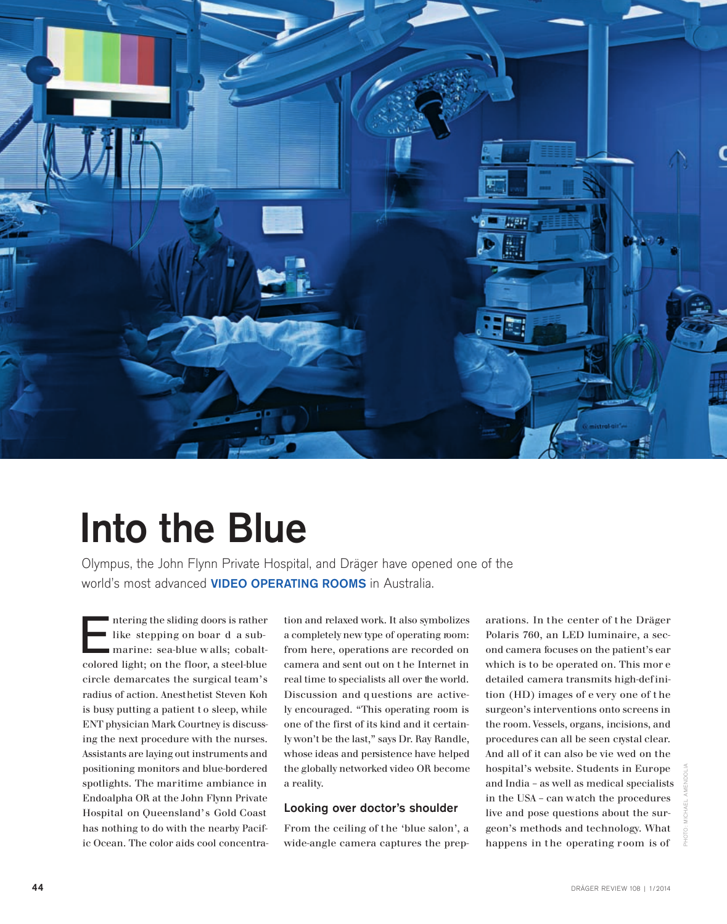

# Into the Blue

Olympus, the John Flynn Private Hospital, and Dräger have opened one of the world's most advanced **VIDEO OPERATING ROOMS** in Australia.

E ntering the sliding doors is rather like stepping on boar d a submarine: sea-blue w alls; cobaltcolored light; on the floor, a steel-blue circle demarcates the surgical team's radius of action. Anesthetist Steven Koh is busy putting a patient t o sleep, while ENT physician Mark Courtney is discussing the next procedure with the nurses. Assistants are laying out instruments and positioning monitors and blue-bordered spotlights. The maritime ambiance in Endoalpha OR at the John Flynn Private Hospital on Queensland's Gold Coast has nothing to do with the nearby Pacific Ocean. The color aids cool concentra-

tion and relaxed work. It also symbolizes a completely new type of operating room: from here, operations are recorded on camera and sent out on t he Internet in real time to specialists all over the world. Discussion and q uestions are actively encouraged. "This operating room is one of the first of its kind and it certainly won't be the last," says Dr. Ray Randle, whose ideas and persistence have helped the globally networked video OR become a reality.

## Looking over doctor's shoulder

From the ceiling of the 'blue salon', a wide-angle camera captures the preparations. In the center of t he Dräger Polaris 760, an LED luminaire, a second camera focuses on the patient's ear which is to be operated on. This mor e detailed camera transmits high-definition (HD) images of e very one of t he surgeon's interventions onto screens in the room. Vessels, organs, incisions, and procedures can all be seen crystal clear. And all of it can also be vie wed on the hospital's website. Students in Europe and India – as well as medical specialists in the USA – can watch the procedures live and pose questions about the surgeon's methods and technology. What happens in the operating room is of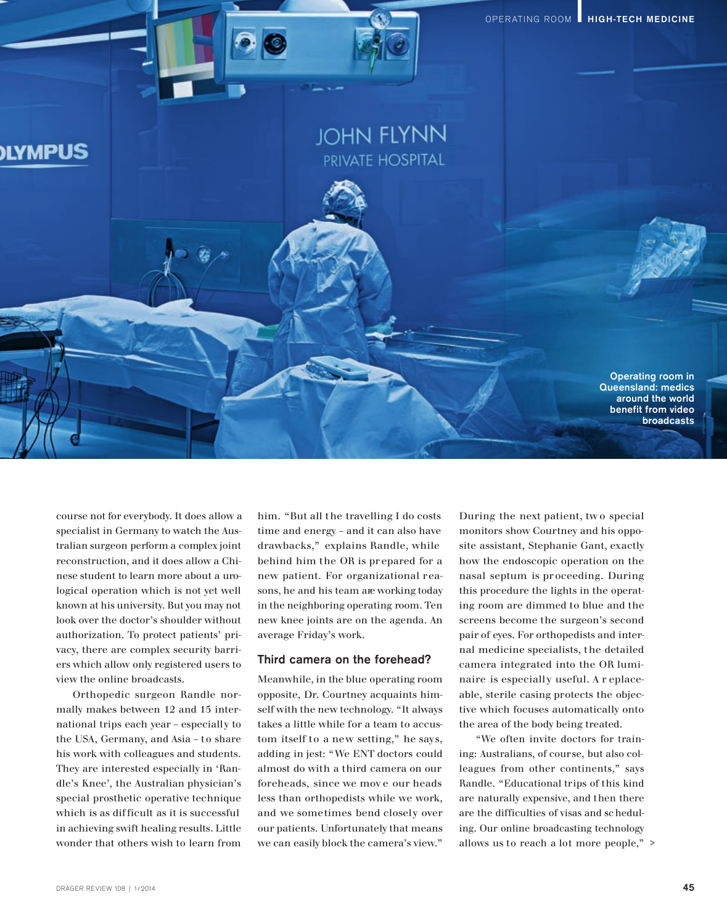

course not for everybody. It does allow a specialist in Germany to watch the Australian surgeon perform a complex joint reconstruction, and it does allow a Chinese student to learn more about a urological operation which is not yet well known at his university. But you may not look over the doctor's shoulder without authorization. To protect patients' privacy, there are complex security barriers which allow only registered users to view the online broadcasts.

Orthopedic surgeon Randle normally makes between 12 and 15 international trips each year – especially to the USA, Germany, and Asia – to share his work with colleagues and students. They are interested especially in 'Randle's Knee', the Australian physician's special prosthetic operative technique which is as dif ficult as it is successful in achieving swift healing results. Little wonder that others wish to learn from him. "But all the travelling I do costs time and energy – and it can also have drawbacks," explains Randle, while behind him the OR is pr epared for a new patient. For organizational reasons, he and his team are working today in the neighboring operating room. Ten new knee joints are on the agenda. An average Friday's work.

## Third camera on the forehead?

Meanwhile, in the blue operating room opposite, Dr. Courtney acquaints himself with the new technology. "It always takes a little while for a team to accustom itself to a new setting," he says, adding in jest: "We ENT doctors could almost do with a third camera on our foreheads, since we mov e our heads less than orthopedists while we work, and we sometimes bend closely over our patients. Unfortunately that means we can easily block the camera's view."

During the next patient, tw o special monitors show Courtney and his opposite assistant, Stephanie Gant, exactly how the endoscopic operation on the nasal septum is pr oceeding. During this procedure the lights in the operating room are dimmed to blue and the screens become the surgeon's second pair of eyes. For orthopedists and internal medicine specialists, the detailed camera integrated into the OR luminaire is especially useful. A r eplaceable, sterile casing protects the objective which focuses automatically onto the area of the body being treated.

"We often invite doctors for training: Australians, of course, but also colleagues from other continents," says Randle. "Educational trips of this kind are naturally expensive, and then there are the difficulties of visas and sc heduling. Our online broadcasting technology allows us to reach a lot more people," >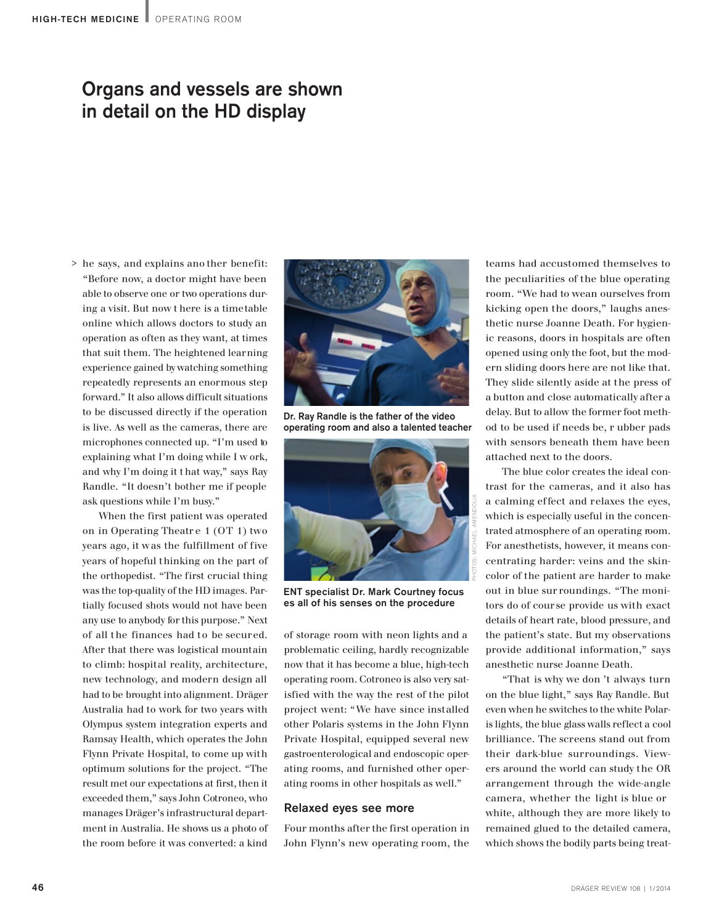## Organs and vessels are shown in detail on the HD display

he says, and explains ano ther benefit: > "Before now, a doctor might have been able to observe one or two operations during a visit. But now t here is a timetable online which allows doctors to study an operation as often as they want, at times that suit them. The heightened learning experience gained by watching something repeatedly represents an enormous step forward." It also allows difficult situations to be discussed directly if the operation is live. As well as the cameras, there are microphones connected up. "I'm used to explaining what I'm doing while I w ork, and why I'm doing it t hat way," says Ray Randle. "It doesn't bother me if people ask questions while I'm busy."

ask questions while I'm bnay; the contract in the given and relative and relative and reduced and the eyes are a special to the special special within the connection of the given special and the special special with the s When the first patient was operated on in Operating Theatr e 1 (OT 1) two years ago, it was the fulfillment of five years of hopeful thinking on the part of the orthopedist. "The first crucial thing was the top-quality of the HD images. Partially focused shots would not have been any use to anybody for this purpose." Next of all the finances had to be secured. After that there was logistical mountain to climb: hospital reality, architecture, new technology, and modern design all had to be brought into alignment. Dräger Australia had to work for two years with Olympus system integration experts and Ramsay Health, which operates the John Flynn Private Hospital, to come up with optimum solutions for the project. "The result met our expectations at first, then it exceeded them," says John Cotroneo, who manages Dräger's infrastructural department in Australia. He shows us a photo of the room before it was converted: a kind



Dr. Ray Randle is the father of the video operating room and also a talented teacher



ENT specialist Dr. Mark Courtney focus es all of his senses on the procedure

of storage room with neon lights and a problematic ceiling, hardly recognizable now that it has become a blue, high-tech operating room. Cotroneo is also very satisfied with the way the rest of the pilot project went: "We have since installed other Polaris systems in the John Flynn Private Hospital, equipped several new gastroenterological and endoscopic operating rooms, and furnished other operating rooms in other hospitals as well."

## Relaxed eyes see more

Four months after the first operation in John Flynn's new operating room, the teams had accustomed themselves to the peculiarities of the blue operating room. "We had to wean ourselves from kicking open the doors," laughs anesthetic nurse Joanne Death. For hygienic reasons, doors in hospitals are often opened using only the foot, but the modern sliding doors here are not like that. They slide silently aside at the press of a button and close automatically after a delay. But to allow the former foot method to be used if needs be, r ubber pads with sensors beneath them have been attached next to the doors.

The blue color creates the ideal contrast for the cameras, and it also has a calming effect and relaxes the eyes, which is especially useful in the concentrated atmosphere of an operating room. For anesthetists, however, it means concentrating harder: veins and the skincolor of the patient are harder to make out in blue sur roundings. "The monitors do of course provide us with exact details of heart rate, blood pressure, and the patient's state. But my observations provide additional information," says anesthetic nurse Joanne Death.

"That is why we don 't always turn on the blue light," says Ray Randle. But even when he switches to the white Polaris lights, the blue glass walls reflect a cool brilliance. The screens stand out from their dark-blue surroundings. Viewers around the world can study the OR arrangement through the wide-angle camera, whether the light is blue or white, although they are more likely to remained glued to the detailed camera, which shows the bodily parts being treat